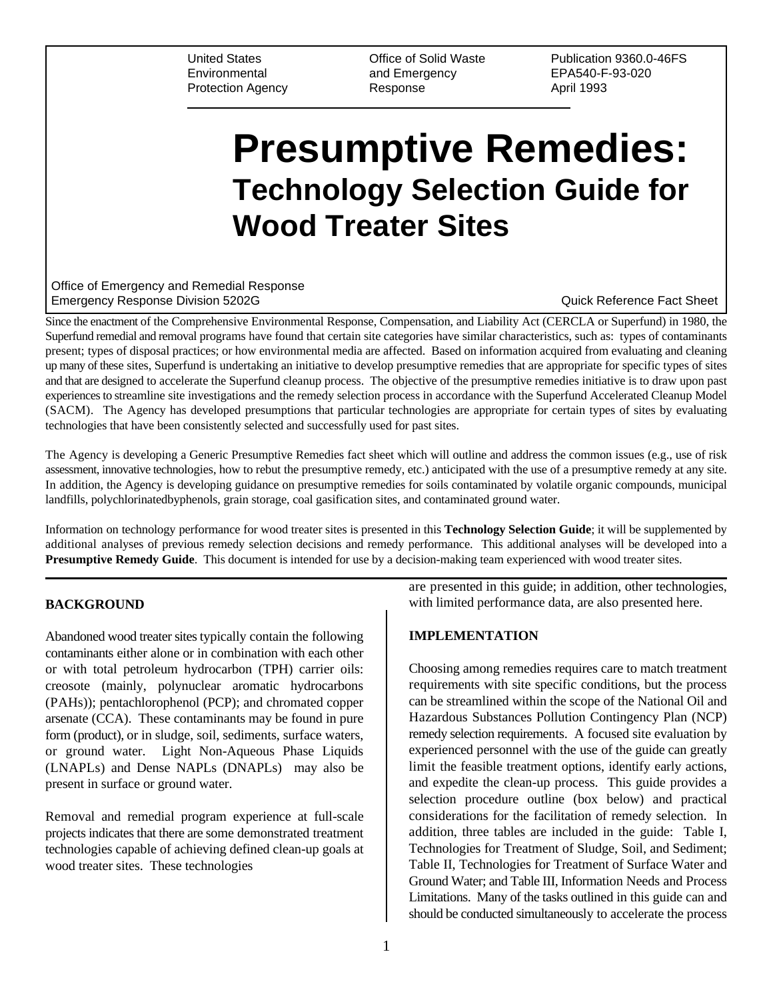Environmental and Emergency EPA540-F-93-020 Protection Agency Response **Response** April 1993

United States Office of Solid Waste Publication 9360.0-46FS

# **Presumptive Remedies: Technology Selection Guide for Wood Treater Sites**

Office of Emergency and Remedial Response Emergency Response Division 5202G **Contract Contract Contract Contract Contract Contract Contract Contract Contract Contract Contract Contract Contract Contract Contract Contract Contract Contract Contract Contract Contrac** 

Since the enactment of the Comprehensive Environmental Response, Compensation, and Liability Act (CERCLA or Superfund) in 1980, the Superfund remedial and removal programs have found that certain site categories have similar characteristics, such as: types of contaminants present; types of disposal practices; or how environmental media are affected. Based on information acquired from evaluating and cleaning up many of these sites, Superfund is undertaking an initiative to develop presumptive remedies that are appropriate for specific types of sites and that are designed to accelerate the Superfund cleanup process. The objective of the presumptive remedies initiative is to draw upon past experiences to streamline site investigations and the remedy selection process in accordance with the Superfund Accelerated Cleanup Model (SACM). The Agency has developed presumptions that particular technologies are appropriate for certain types of sites by evaluating technologies that have been consistently selected and successfully used for past sites.

The Agency is developing a Generic Presumptive Remedies fact sheet which will outline and address the common issues (e.g., use of risk assessment, innovative technologies, how to rebut the presumptive remedy, etc.) anticipated with the use of a presumptive remedy at any site. In addition, the Agency is developing guidance on presumptive remedies for soils contaminated by volatile organic compounds, municipal landfills, polychlorinatedbyphenols, grain storage, coal gasification sites, and contaminated ground water.

Information on technology performance for wood treater sites is presented in this **Technology Selection Guide**; it will be supplemented by additional analyses of previous remedy selection decisions and remedy performance. This additional analyses will be developed into a **Presumptive Remedy Guide**. This document is intended for use by a decision-making team experienced with wood treater sites.

# **BACKGROUND**

Abandoned wood treater sites typically contain the following contaminants either alone or in combination with each other or with total petroleum hydrocarbon (TPH) carrier oils: creosote (mainly, polynuclear aromatic hydrocarbons (PAHs)); pentachlorophenol (PCP); and chromated copper arsenate (CCA). These contaminants may be found in pure form (product), or in sludge, soil, sediments, surface waters, or ground water. Light Non-Aqueous Phase Liquids (LNAPLs) and Dense NAPLs (DNAPLs) may also be present in surface or ground water.

Removal and remedial program experience at full-scale projects indicates that there are some demonstrated treatment technologies capable of achieving defined clean-up goals at wood treater sites. These technologies

are presented in this guide; in addition, other technologies, with limited performance data, are also presented here.

# **IMPLEMENTATION**

Choosing among remedies requires care to match treatment requirements with site specific conditions, but the process can be streamlined within the scope of the National Oil and Hazardous Substances Pollution Contingency Plan (NCP) remedy selection requirements. A focused site evaluation by experienced personnel with the use of the guide can greatly limit the feasible treatment options, identify early actions, and expedite the clean-up process. This guide provides a selection procedure outline (box below) and practical considerations for the facilitation of remedy selection. In addition, three tables are included in the guide: Table I, Technologies for Treatment of Sludge, Soil, and Sediment; Table II, Technologies for Treatment of Surface Water and Ground Water; and Table III, Information Needs and Process Limitations. Many of the tasks outlined in this guide can and should be conducted simultaneously to accelerate the process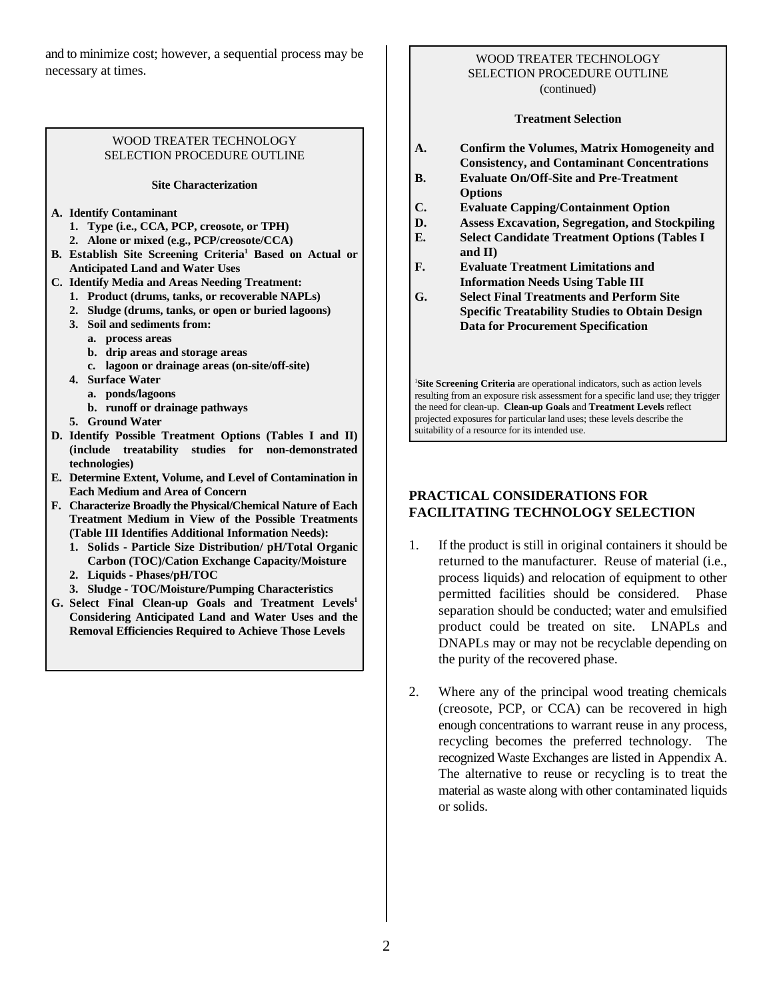and to minimize cost; however, a sequential process may be necessary at times.

# WOOD TREATER TECHNOLOGY SELECTION PROCEDURE OUTLINE

## **Site Characterization**

**A. Identify Contaminant** 

- **1. Type (i.e., CCA, PCP, creosote, or TPH)**
- **2. Alone or mixed (e.g., PCP/creosote/CCA)**
- **B.** Establish Site Screening Criteria<sup>1</sup> Based on Actual or **Anticipated Land and Water Uses**
- **C. Identify Media and Areas Needing Treatment:**
	- **1. Product (drums, tanks, or recoverable NAPLs)**
	- **2. Sludge (drums, tanks, or open or buried lagoons)**
	- **3. Soil and sediments from:**
		- **a. process areas**
		- **b. drip areas and storage areas**
		- **c. lagoon or drainage areas (on-site/off-site)**
	- **4. Surface Water**
		- **a. ponds/lagoons**
		- **b. runoff or drainage pathways**
	- **5. Ground Water**
- **D. Identify Possible Treatment Options (Tables I and II) (include treatability studies for non-demonstrated technologies)**
- **E. Determine Extent, Volume, and Level of Contamination in Each Medium and Area of Concern**
- **F. Characterize Broadly the Physical/Chemical Nature of Each Treatment Medium in View of the Possible Treatments (Table III Identifies Additional Information Needs):**
	- **1. Solids Particle Size Distribution/ pH/Total Organic Carbon (TOC)/Cation Exchange Capacity/Moisture**
	- **2. Liquids Phases/pH/TOC**
	- **3. Sludge TOC/Moisture/Pumping Characteristics**
- **G. Select Final Clean-up Goals and Treatment Levels<sup>1</sup> Considering Anticipated Land and Water Uses and the Removal Efficiencies Required to Achieve Those Levels**

## WOOD TREATER TECHNOLOGY SELECTION PROCEDURE OUTLINE (continued)

## **Treatment Selection**

- **A. Confirm the Volumes, Matrix Homogeneity and Consistency, and Contaminant Concentrations**
- **B. Evaluate On/Off-Site and Pre-Treatment Options**
- **C. Evaluate Capping/Containment Option**
- **D. Assess Excavation, Segregation, and Stockpiling**
- **E. Select Candidate Treatment Options (Tables I and II)**
- **F. Evaluate Treatment Limitations and Information Needs Using Table III**
- **G. Select Final Treatments and Perform Site Specific Treatability Studies to Obtain Design Data for Procurement Specification**

<sup>1</sup>Site Screening Criteria are operational indicators, such as action levels resulting from an exposure risk assessment for a specific land use; they trigger the need for clean-up. **Clean-up Goals** and **Treatment Levels** reflect projected exposures for particular land uses; these levels describe the suitability of a resource for its intended use.

# **PRACTICAL CONSIDERATIONS FOR FACILITATING TECHNOLOGY SELECTION**

- 1. If the product is still in original containers it should be returned to the manufacturer. Reuse of material (i.e., process liquids) and relocation of equipment to other permitted facilities should be considered. Phase separation should be conducted; water and emulsified product could be treated on site. LNAPLs and DNAPLs may or may not be recyclable depending on the purity of the recovered phase.
- 2. Where any of the principal wood treating chemicals (creosote, PCP, or CCA) can be recovered in high enough concentrations to warrant reuse in any process, recycling becomes the preferred technology. The recognized Waste Exchanges are listed in Appendix A. The alternative to reuse or recycling is to treat the material as waste along with other contaminated liquids or solids.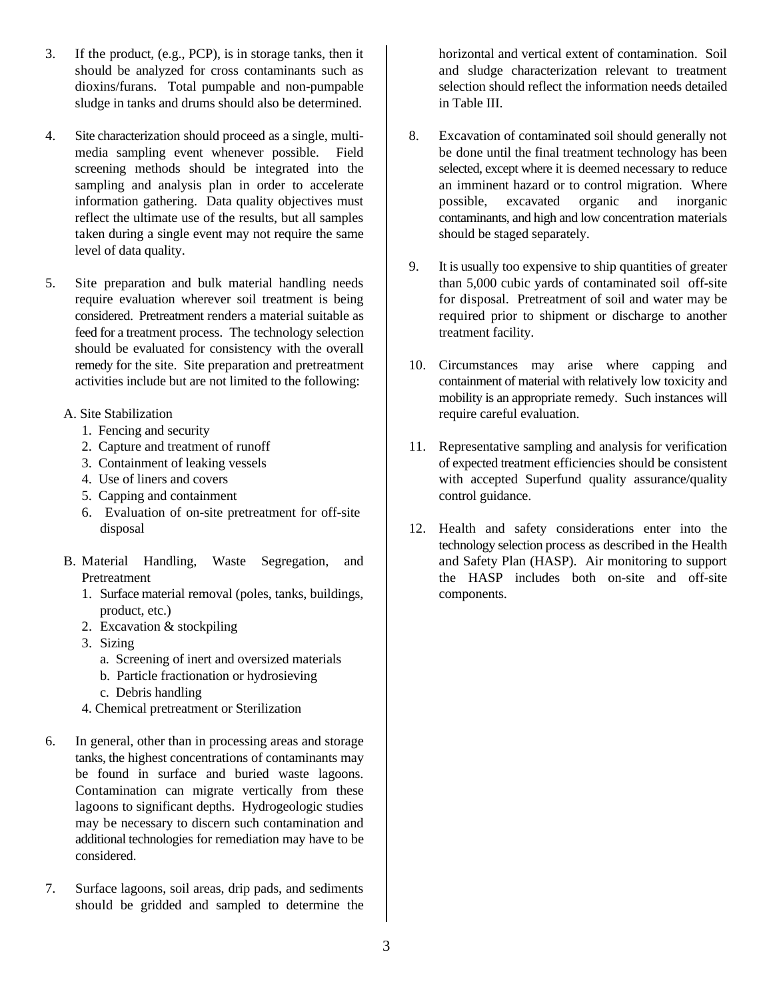- 3. If the product, (e.g., PCP), is in storage tanks, then it horizontal and vertical extent of contamination. Soil should be analyzed for cross contaminants such as and sludge characterization relevant to treatment dioxins/furans. Total pumpable and non-pumpable selection should reflect the information needs detailed sludge in tanks and drums should also be determined. in Table III.
- 4. Site characterization should proceed as a single, multi- 8. Excavation of contaminated soil should generally not taken during a single event may not require the same should be staged separately. level of data quality.
- feed for a treatment process. The technology selection treatment facility. should be evaluated for consistency with the overall
	- - 1. Fencing and security
		-
		-
		-
		- 5. Capping and containment control guidance.
		- 6. Evaluation of on-site pretreatment for off-site
	- - 1. Surface material removal (poles, tanks, buildings, components. product, etc.)
		- 2. Excavation & stockpiling
		- 3. Sizing
		- a. Screening of inert and oversized materials
			- b. Particle fractionation or hydrosieving
			- c. Debris handling
		- 4. Chemical pretreatment or Sterilization
- 6. In general, other than in processing areas and storage tanks, the highest concentrations of contaminants may be found in surface and buried waste lagoons. Contamination can migrate vertically from these lagoons to significant depths. Hydrogeologic studies may be necessary to discern such contamination and additional technologies for remediation may have to be considered.
- 7. Surface lagoons, soil areas, drip pads, and sediments should be gridded and sampled to determine the

- media sampling event whenever possible. Field be done until the final treatment technology has been screening methods should be integrated into the selected, except where it is deemed necessary to reduce sampling and analysis plan in order to accelerate an imminent hazard or to control migration. Where information gathering. Data quality objectives must possible, excavated organic and inorganic reflect the ultimate use of the results, but all samples contaminants, and high and low concentration materials
- 5. Site preparation and bulk material handling needs than 5,000 cubic yards of contaminated soil off-site require evaluation wherever soil treatment is being for disposal. Pretreatment of soil and water may be considered. Pretreatment renders a material suitable as required prior to shipment or discharge to another 9. It is usually too expensive to ship quantities of greater
	- remedy for the site. Site preparation and pretreatment 10. Circumstances may arise where capping and activities include but are not limited to the following: containment of material with relatively low toxicity and A. Site Stabilization **require careful evaluation**. mobility is an appropriate remedy. Such instances will
		- 2. Capture and treatment of runoff 11. Representative sampling and analysis for verification 3. Containment of leaking vessels of expected treatment efficiencies should be consistent 4. Use of liners and covers with accepted Superfund quality assurance/quality
	- disposal 12. Health and safety considerations enter into the B. Material Handling, Waste Segregation, and and Safety Plan (HASP). Air monitoring to support Pretreatment the HASP includes both on-site and off-site technology selection process as described in the Health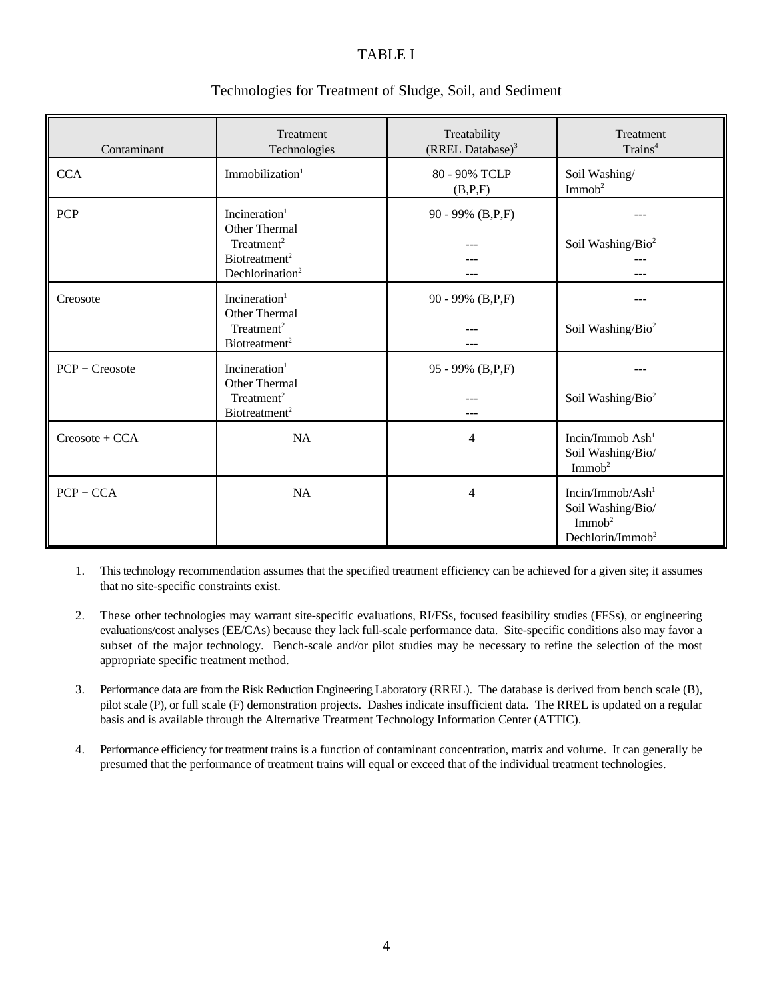# TABLE I

| Contaminant         | <b>Treatment</b><br>Technologies                                                                                                 | Treatability<br>(RREL Database) <sup>3</sup> | <b>Treatment</b><br>Trains <sup>4</sup>                                                        |
|---------------------|----------------------------------------------------------------------------------------------------------------------------------|----------------------------------------------|------------------------------------------------------------------------------------------------|
| <b>CCA</b>          | Immobilization <sup>1</sup>                                                                                                      | 80 - 90% TCLP<br>(B,P,F)                     | Soil Washing/<br>Immob <sup>2</sup>                                                            |
| <b>PCP</b>          | Incineration <sup>1</sup><br>Other Thermal<br>Treatment <sup>2</sup><br>Biotreatment <sup>2</sup><br>Dechlorination <sup>2</sup> | 90 - 99% (B,P,F)                             | Soil Washing/Bio <sup>2</sup><br>---                                                           |
| Creosote            | Incineration $1$<br>Other Thermal<br>Treatment <sup>2</sup><br>Biotreatment <sup>2</sup>                                         | 90 - 99% (B,P,F)                             | ---<br>Soil Washing/Bio <sup>2</sup>                                                           |
| $PCP + C$ reosote   | Incineration <sup>1</sup><br><b>Other Thermal</b><br>Treatment <sup>2</sup><br>Biotreatment <sup>2</sup>                         | 95 - 99% (B,P,F)                             | Soil Washing/Bio <sup>2</sup>                                                                  |
| $C$ reosote + $CCA$ | <b>NA</b>                                                                                                                        | $\overline{4}$                               | Incin/Immob Ash <sup>1</sup><br>Soil Washing/Bio/<br>Immob <sup>2</sup>                        |
| $PCP + CCA$         | NA                                                                                                                               | $\overline{4}$                               | Incin/Immob/Ash $1$<br>Soil Washing/Bio/<br>Immob <sup>2</sup><br>Dechlorin/Immob <sup>2</sup> |

# Technologies for Treatment of Sludge, Soil, and Sediment

- 1. This technology recommendation assumes that the specified treatment efficiency can be achieved for a given site; it assumes that no site-specific constraints exist.
- 2. These other technologies may warrant site-specific evaluations, RI/FSs, focused feasibility studies (FFSs), or engineering evaluations/cost analyses (EE/CAs) because they lack full-scale performance data. Site-specific conditions also may favor a subset of the major technology. Bench-scale and/or pilot studies may be necessary to refine the selection of the most appropriate specific treatment method.
- 3. Performance data are from the Risk Reduction Engineering Laboratory (RREL). The database is derived from bench scale (B), pilot scale (P), or full scale (F) demonstration projects. Dashes indicate insufficient data. The RREL is updated on a regular basis and is available through the Alternative Treatment Technology Information Center (ATTIC).
- 4. Performance efficiency for treatment trains is a function of contaminant concentration, matrix and volume. It can generally be presumed that the performance of treatment trains will equal or exceed that of the individual treatment technologies.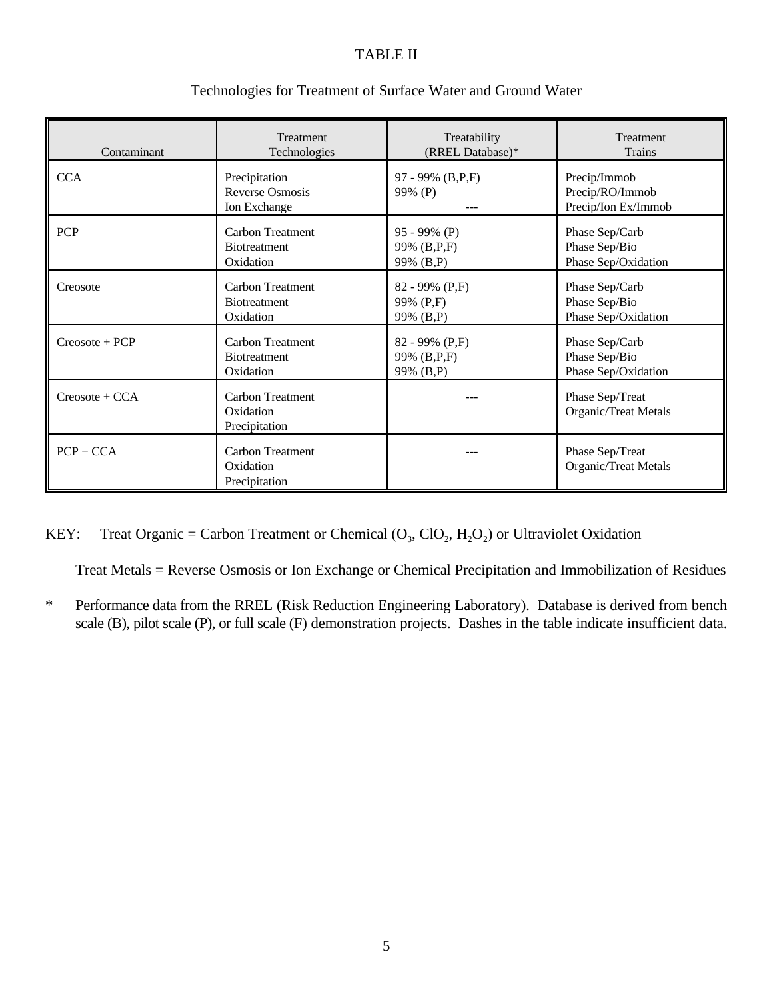# TABLE II

| Contaminant         | Treatment                                               | Treatability                | <b>Treatment</b>                                       |
|---------------------|---------------------------------------------------------|-----------------------------|--------------------------------------------------------|
|                     | Technologies                                            | (RREL Database)*            | <b>Trains</b>                                          |
| <b>CCA</b>          | Precipitation<br><b>Reverse Osmosis</b><br>Ion Exchange | 97 - 99% (B,P,F)<br>99% (P) | Precip/Immob<br>Precip/RO/Immob<br>Precip/Ion Ex/Immob |
| <b>PCP</b>          | Carbon Treatment                                        | $95 - 99\%$ (P)             | Phase Sep/Carb                                         |
|                     | <b>Biotreatment</b>                                     | 99% (B,P,F)                 | Phase Sep/Bio                                          |
|                     | Oxidation                                               | 99% (B,P)                   | Phase Sep/Oxidation                                    |
| Creosote            | <b>Carbon Treatment</b>                                 | $82 - 99\%$ (P,F)           | Phase Sep/Carb                                         |
|                     | <b>Biotreatment</b>                                     | 99% (P,F)                   | Phase Sep/Bio                                          |
|                     | Oxidation                                               | 99% (B,P)                   | Phase Sep/Oxidation                                    |
| Creosote + PCP      | <b>Carbon Treatment</b>                                 | $82 - 99\%$ (P,F)           | Phase Sep/Carb                                         |
|                     | <b>Biotreatment</b>                                     | 99% (B,P,F)                 | Phase Sep/Bio                                          |
|                     | Oxidation                                               | 99% (B,P)                   | Phase Sep/Oxidation                                    |
| $C$ reosote + $CCA$ | Carbon Treatment<br>Oxidation<br>Precipitation          |                             | Phase Sep/Treat<br>Organic/Treat Metals                |
| $PCP + CCA$         | Carbon Treatment<br>Oxidation<br>Precipitation          |                             | Phase Sep/Treat<br>Organic/Treat Metals                |

# Technologies for Treatment of Surface Water and Ground Water

KEY: Treat Organic = Carbon Treatment or Chemical  $(O_3, ClO_2, H_2O_2)$  or Ultraviolet Oxidation

Treat Metals = Reverse Osmosis or Ion Exchange or Chemical Precipitation and Immobilization of Residues

\* Performance data from the RREL (Risk Reduction Engineering Laboratory). Database is derived from bench scale (B), pilot scale (P), or full scale (F) demonstration projects. Dashes in the table indicate insufficient data.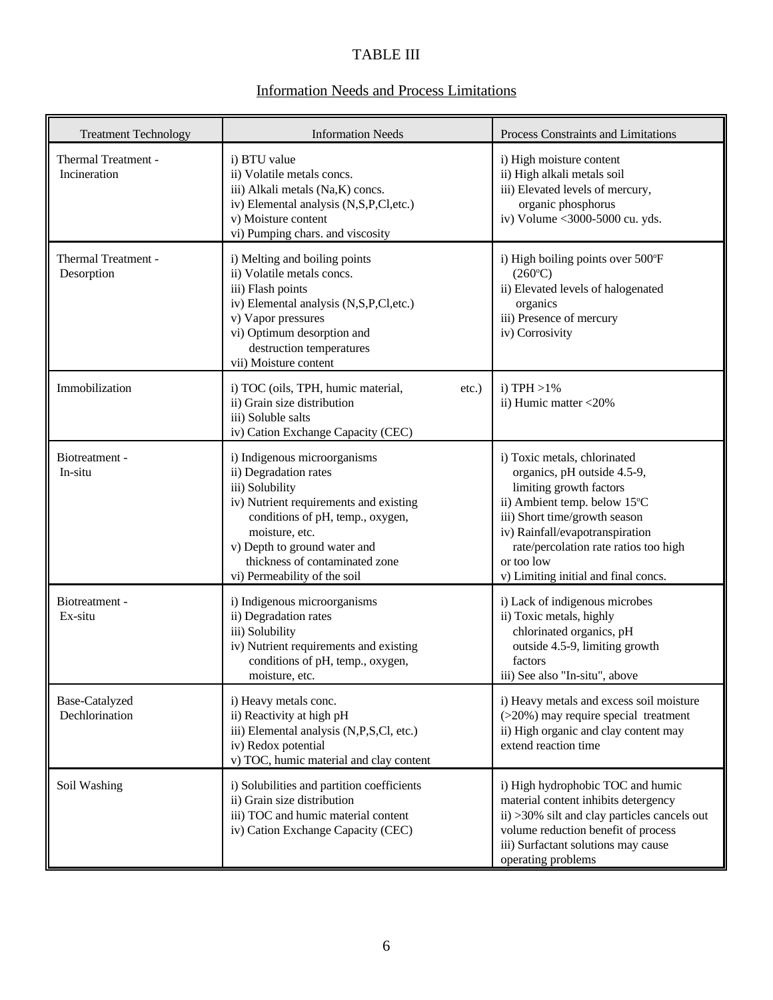# TABLE III

# Information Needs and Process Limitations

| <b>Treatment Technology</b>         | <b>Information Needs</b>                                                                                                                                                                                                                                                   | Process Constraints and Limitations                                                                                                                                                                                                                                                       |
|-------------------------------------|----------------------------------------------------------------------------------------------------------------------------------------------------------------------------------------------------------------------------------------------------------------------------|-------------------------------------------------------------------------------------------------------------------------------------------------------------------------------------------------------------------------------------------------------------------------------------------|
| Thermal Treatment -<br>Incineration | i) BTU value<br>ii) Volatile metals concs.<br>iii) Alkali metals (Na,K) concs.<br>iv) Elemental analysis (N,S,P,Cl,etc.)<br>v) Moisture content<br>vi) Pumping chars. and viscosity                                                                                        | i) High moisture content<br>ii) High alkali metals soil<br>iii) Elevated levels of mercury,<br>organic phosphorus<br>iv) Volume <3000-5000 cu. yds.                                                                                                                                       |
| Thermal Treatment -<br>Desorption   | i) Melting and boiling points<br>ii) Volatile metals concs.<br>iii) Flash points<br>iv) Elemental analysis (N,S,P,Cl,etc.)<br>v) Vapor pressures<br>vi) Optimum desorption and<br>destruction temperatures<br>vii) Moisture content                                        | i) High boiling points over 500°F<br>$(260^{\circ}C)$<br>ii) Elevated levels of halogenated<br>organics<br>iii) Presence of mercury<br>iv) Corrosivity                                                                                                                                    |
| Immobilization                      | i) TOC (oils, TPH, humic material,<br>$etc.$ )<br>ii) Grain size distribution<br>iii) Soluble salts<br>iv) Cation Exchange Capacity (CEC)                                                                                                                                  | i) TPH $>1\%$<br>ii) Humic matter <20%                                                                                                                                                                                                                                                    |
| Biotreatment -<br>In-situ           | i) Indigenous microorganisms<br>ii) Degradation rates<br>iii) Solubility<br>iv) Nutrient requirements and existing<br>conditions of pH, temp., oxygen,<br>moisture, etc.<br>v) Depth to ground water and<br>thickness of contaminated zone<br>vi) Permeability of the soil | i) Toxic metals, chlorinated<br>organics, pH outside 4.5-9,<br>limiting growth factors<br>ii) Ambient temp. below 15°C<br>iii) Short time/growth season<br>iv) Rainfall/evapotranspiration<br>rate/percolation rate ratios too high<br>or too low<br>v) Limiting initial and final concs. |
| Biotreatment -<br>Ex-situ           | i) Indigenous microorganisms<br>ii) Degradation rates<br>iii) Solubility<br>iv) Nutrient requirements and existing<br>conditions of pH, temp., oxygen,<br>moisture, etc.                                                                                                   | i) Lack of indigenous microbes<br>ii) Toxic metals, highly<br>chlorinated organics, pH<br>outside 4.5-9, limiting growth<br>factors<br>iii) See also "In-situ", above                                                                                                                     |
| Base-Catalyzed<br>Dechlorination    | i) Heavy metals conc.<br>ii) Reactivity at high pH<br>iii) Elemental analysis (N,P,S,Cl, etc.)<br>iv) Redox potential<br>v) TOC, humic material and clay content                                                                                                           | i) Heavy metals and excess soil moisture<br>(>20%) may require special treatment<br>ii) High organic and clay content may<br>extend reaction time                                                                                                                                         |
| Soil Washing                        | i) Solubilities and partition coefficients<br>ii) Grain size distribution<br>iii) TOC and humic material content<br>iv) Cation Exchange Capacity (CEC)                                                                                                                     | i) High hydrophobic TOC and humic<br>material content inhibits detergency<br>ii) > 30% silt and clay particles cancels out<br>volume reduction benefit of process<br>iii) Surfactant solutions may cause<br>operating problems                                                            |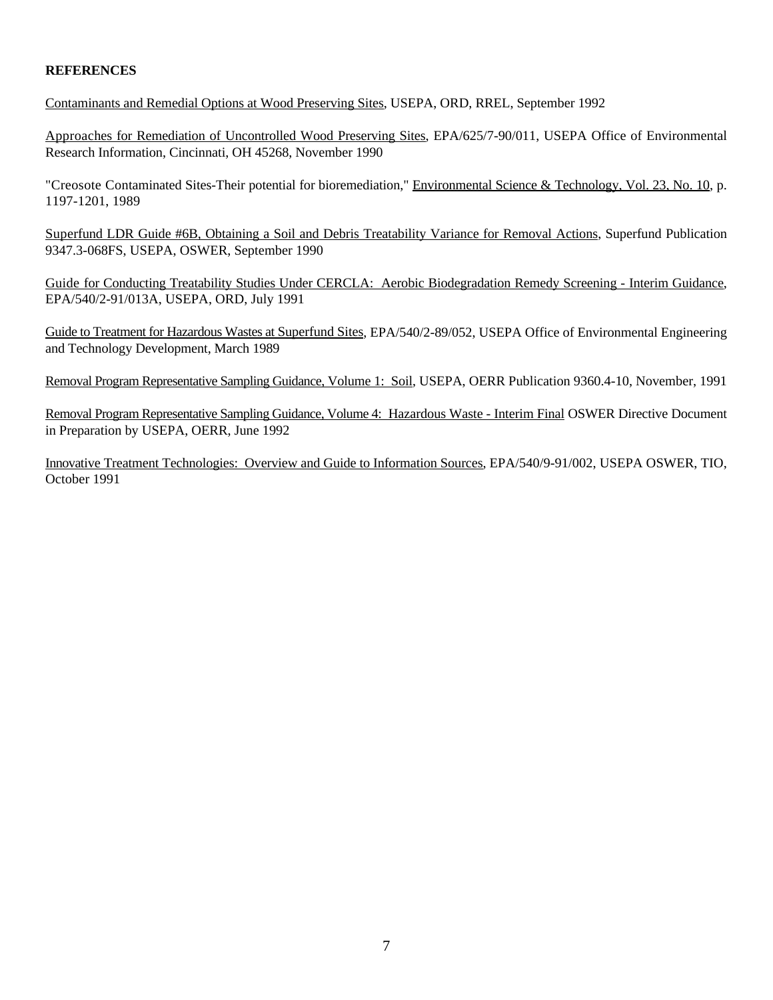# **REFERENCES**

Contaminants and Remedial Options at Wood Preserving Sites, USEPA, ORD, RREL, September 1992

Approaches for Remediation of Uncontrolled Wood Preserving Sites, EPA/625/7-90/011, USEPA Office of Environmental Research Information, Cincinnati, OH 45268, November 1990

"Creosote Contaminated Sites-Their potential for bioremediation," Environmental Science & Technology, Vol. 23, No. 10, p. 1197-1201, 1989

Superfund LDR Guide #6B, Obtaining a Soil and Debris Treatability Variance for Removal Actions, Superfund Publication 9347.3-068FS, USEPA, OSWER, September 1990

Guide for Conducting Treatability Studies Under CERCLA: Aerobic Biodegradation Remedy Screening - Interim Guidance, EPA/540/2-91/013A, USEPA, ORD, July 1991

Guide to Treatment for Hazardous Wastes at Superfund Sites, EPA/540/2-89/052, USEPA Office of Environmental Engineering and Technology Development, March 1989

Removal Program Representative Sampling Guidance, Volume 1: Soil, USEPA, OERR Publication 9360.4-10, November, 1991

Removal Program Representative Sampling Guidance, Volume 4: Hazardous Waste - Interim Final OSWER Directive Document in Preparation by USEPA, OERR, June 1992

Innovative Treatment Technologies: Overview and Guide to Information Sources, EPA/540/9-91/002, USEPA OSWER, TIO, October 1991